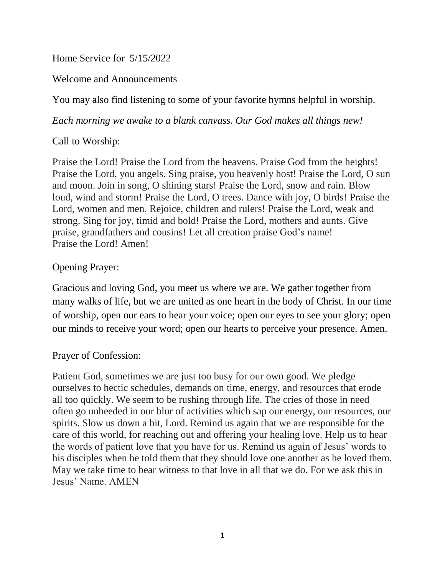Home Service for 5/15/2022

Welcome and Announcements

You may also find listening to some of your favorite hymns helpful in worship.

*Each morning we awake to a blank canvass. Our God makes all things new!*

Call to Worship:

Praise the Lord! Praise the Lord from the heavens. Praise God from the heights! Praise the Lord, you angels. Sing praise, you heavenly host! Praise the Lord, O sun and moon. Join in song, O shining stars! Praise the Lord, snow and rain. Blow loud, wind and storm! Praise the Lord, O trees. Dance with joy, O birds! Praise the Lord, women and men. Rejoice, children and rulers! Praise the Lord, weak and strong. Sing for joy, timid and bold! Praise the Lord, mothers and aunts. Give praise, grandfathers and cousins! Let all creation praise God's name! Praise the Lord! Amen!

## Opening Prayer:

Gracious and loving God, you meet us where we are. We gather together from many walks of life, but we are united as one heart in the body of Christ. In our time of worship, open our ears to hear your voice; open our eyes to see your glory; open our minds to receive your word; open our hearts to perceive your presence. Amen.

### Prayer of Confession:

Patient God, sometimes we are just too busy for our own good. We pledge ourselves to hectic schedules, demands on time, energy, and resources that erode all too quickly. We seem to be rushing through life. The cries of those in need often go unheeded in our blur of activities which sap our energy, our resources, our spirits. Slow us down a bit, Lord. Remind us again that we are responsible for the care of this world, for reaching out and offering your healing love. Help us to hear the words of patient love that you have for us. Remind us again of Jesus' words to his disciples when he told them that they should love one another as he loved them. May we take time to bear witness to that love in all that we do. For we ask this in Jesus' Name. AMEN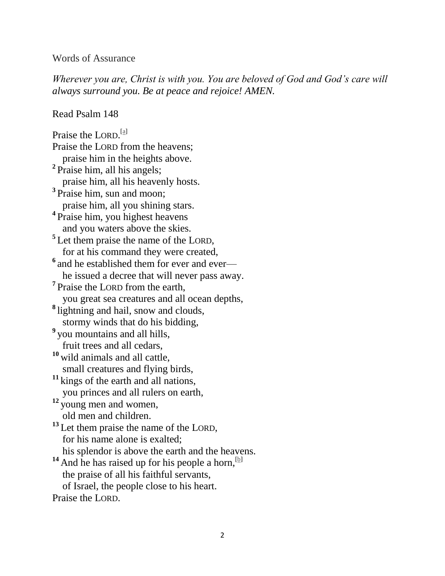#### Words of Assurance

*Wherever you are, Christ is with you. You are beloved of God and God's care will always surround you. Be at peace and rejoice! AMEN.*

Read Psalm 148

Praise the LORD.<sup>[\[a\]](https://www.biblegateway.com/passage/?search=Psalm+148&version=NIV#fen-NIV-16373a)</sup> Praise the LORD from the heavens; praise him in the heights above. <sup>2</sup> Praise him, all his angels; praise him, all his heavenly hosts. **3** Praise him, sun and moon; praise him, all you shining stars. **4** Praise him, you highest heavens and you waters above the skies. <sup>5</sup>Let them praise the name of the LORD, for at his command they were created, <sup>6</sup> and he established them for ever and ever he issued a decree that will never pass away. <sup>7</sup> Praise the LORD from the earth, you great sea creatures and all ocean depths, **8** lightning and hail, snow and clouds, stormy winds that do his bidding, **9** you mountains and all hills, fruit trees and all cedars, **<sup>10</sup>** wild animals and all cattle, small creatures and flying birds, **<sup>11</sup>** kings of the earth and all nations, you princes and all rulers on earth, **12** young men and women, old men and children. <sup>13</sup> Let them praise the name of the LORD, for his name alone is exalted; his splendor is above the earth and the heavens. <sup>14</sup> And he has raised up for his people a horn,<sup>[\[b\]](https://www.biblegateway.com/passage/?search=Psalm+148&version=NIV#fen-NIV-16386b)</sup> the praise of all his faithful servants, of Israel, the people close to his heart. Praise the LORD.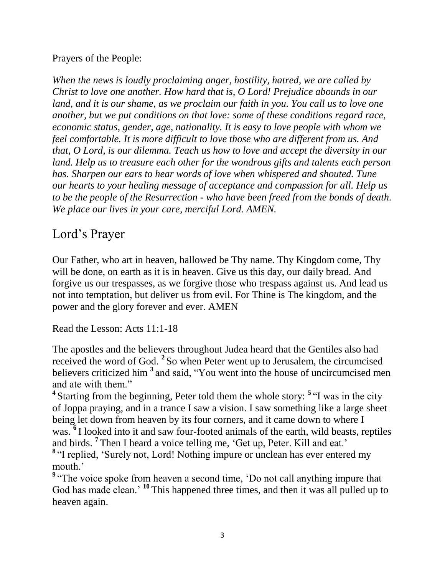Prayers of the People:

*When the news is loudly proclaiming anger, hostility, hatred, we are called by Christ to love one another. How hard that is, O Lord! Prejudice abounds in our*  land, and it is our shame, as we proclaim our faith in you. You call us to love one *another, but we put conditions on that love: some of these conditions regard race, economic status, gender, age, nationality. It is easy to love people with whom we feel comfortable. It is more difficult to love those who are different from us. And that, O Lord, is our dilemma. Teach us how to love and accept the diversity in our land. Help us to treasure each other for the wondrous gifts and talents each person has. Sharpen our ears to hear words of love when whispered and shouted. Tune our hearts to your healing message of acceptance and compassion for all. Help us to be the people of the Resurrection - who have been freed from the bonds of death. We place our lives in your care, merciful Lord. AMEN.*

# Lord's Prayer

Our Father, who art in heaven, hallowed be Thy name. Thy Kingdom come, Thy will be done, on earth as it is in heaven. Give us this day, our daily bread. And forgive us our trespasses, as we forgive those who trespass against us. And lead us not into temptation, but deliver us from evil. For Thine is The kingdom, and the power and the glory forever and ever. AMEN

Read the Lesson: Acts 11:1-18

The apostles and the believers throughout Judea heard that the Gentiles also had received the word of God. **<sup>2</sup>** So when Peter went up to Jerusalem, the circumcised believers criticized him **<sup>3</sup>** and said, "You went into the house of uncircumcised men and ate with them."

<sup>4</sup> Starting from the beginning, Peter told them the whole story: <sup>5</sup> "I was in the city of Joppa praying, and in a trance I saw a vision. I saw something like a large sheet being let down from heaven by its four corners, and it came down to where I was.<sup>6</sup> I looked into it and saw four-footed animals of the earth, wild beasts, reptiles and birds. **<sup>7</sup>** Then I heard a voice telling me, 'Get up, Peter. Kill and eat.' <sup>8</sup> "I replied, 'Surely not, Lord! Nothing impure or unclean has ever entered my mouth.'

<sup>9</sup> "The voice spoke from heaven a second time, 'Do not call anything impure that God has made clean.' **<sup>10</sup>** This happened three times, and then it was all pulled up to heaven again.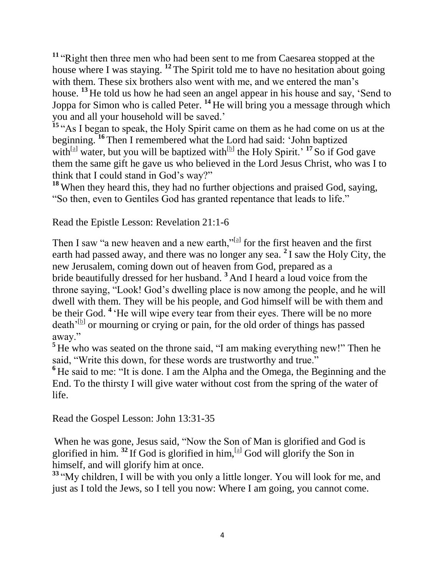**<sup>11</sup>** "Right then three men who had been sent to me from Caesarea stopped at the house where I was staying. **<sup>12</sup>** The Spirit told me to have no hesitation about going with them. These six brothers also went with me, and we entered the man's house. **<sup>13</sup>** He told us how he had seen an angel appear in his house and say, 'Send to Joppa for Simon who is called Peter. **<sup>14</sup>** He will bring you a message through which you and all your household will be saved.'

<sup>15</sup> "As I began to speak, the Holy Spirit came on them as he had come on us at the beginning. **<sup>16</sup>** Then I remembered what the Lord had said: 'John baptized with<sup>[\[a\]](https://www.biblegateway.com/passage/?search=Acts+11%3A1-18&version=NIV#fen-NIV-27324a)</sup> water, but you will be baptized with<sup>[\[b\]](https://www.biblegateway.com/passage/?search=Acts+11%3A1-18&version=NIV#fen-NIV-27324b)</sup> the Holy Spirit.<sup>'</sup> <sup>17</sup> So if God gave them the same gift he gave us who believed in the Lord Jesus Christ, who was I to think that I could stand in God's way?"

**<sup>18</sup>** When they heard this, they had no further objections and praised God, saying, "So then, even to Gentiles God has granted repentance that leads to life."

Read the Epistle Lesson: Revelation 21:1-6

Then I saw "a new heaven and a new earth," $\frac{[a]}{[a]}$  $\frac{[a]}{[a]}$  $\frac{[a]}{[a]}$  for the first heaven and the first earth had passed away, and there was no longer any sea. **<sup>2</sup>** I saw the Holy City, the new Jerusalem, coming down out of heaven from God, prepared as a bride beautifully dressed for her husband. **<sup>3</sup>** And I heard a loud voice from the throne saying, "Look! God's dwelling place is now among the people, and he will dwell with them. They will be his people, and God himself will be with them and be their God. **<sup>4</sup>** 'He will wipe every tear from their eyes. There will be no more death<sup>, [\[b\]](https://www.biblegateway.com/passage/?search=Revelation+21%3A1-6&version=NIV#fen-NIV-31058b)</sup> or mourning or crying or pain, for the old order of things has passed away."

<sup>5</sup> He who was seated on the throne said, "I am making everything new!" Then he said, "Write this down, for these words are trustworthy and true."

**<sup>6</sup>** He said to me: "It is done. I am the Alpha and the Omega, the Beginning and the End. To the thirsty I will give water without cost from the spring of the water of life.

Read the Gospel Lesson: John 13:31-35

When he was gone, Jesus said, "Now the Son of Man is glorified and God is glorified in him.  $32$  If God is glorified in him,  $\left[ \frac{a}{2} \right]$  God will glorify the Son in himself, and will glorify him at once.

**<sup>33</sup>** "My children, I will be with you only a little longer. You will look for me, and just as I told the Jews, so I tell you now: Where I am going, you cannot come.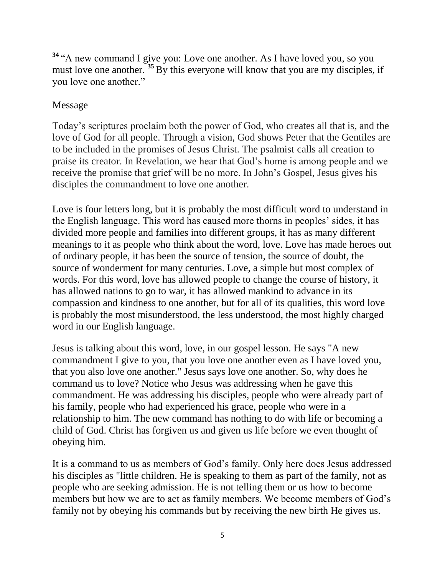**<sup>34</sup>** "A new command I give you: Love one another. As I have loved you, so you must love one another. **<sup>35</sup>** By this everyone will know that you are my disciples, if you love one another."

### Message

Today's scriptures proclaim both the power of God, who creates all that is, and the love of God for all people. Through a vision, God shows Peter that the Gentiles are to be included in the promises of Jesus Christ. The psalmist calls all creation to praise its creator. In Revelation, we hear that God's home is among people and we receive the promise that grief will be no more. In John's Gospel, Jesus gives his disciples the commandment to love one another.

Love is four letters long, but it is probably the most difficult word to understand in the English language. This word has caused more thorns in peoples' sides, it has divided more people and families into different groups, it has as many different meanings to it as people who think about the word, love. Love has made heroes out of ordinary people, it has been the source of tension, the source of doubt, the source of wonderment for many centuries. Love, a simple but most complex of words. For this word, love has allowed people to change the course of history, it has allowed nations to go to war, it has allowed mankind to advance in its compassion and kindness to one another, but for all of its qualities, this word love is probably the most misunderstood, the less understood, the most highly charged word in our English language.

Jesus is talking about this word, love, in our gospel lesson. He says "A new commandment I give to you, that you love one another even as I have loved you, that you also love one another." Jesus says love one another. So, why does he command us to love? Notice who Jesus was addressing when he gave this commandment. He was addressing his disciples, people who were already part of his family, people who had experienced his grace, people who were in a relationship to him. The new command has nothing to do with life or becoming a child of God. Christ has forgiven us and given us life before we even thought of obeying him.

It is a command to us as members of God's family. Only here does Jesus addressed his disciples as "little children. He is speaking to them as part of the family, not as people who are seeking admission. He is not telling them or us how to become members but how we are to act as family members. We become members of God's family not by obeying his commands but by receiving the new birth He gives us.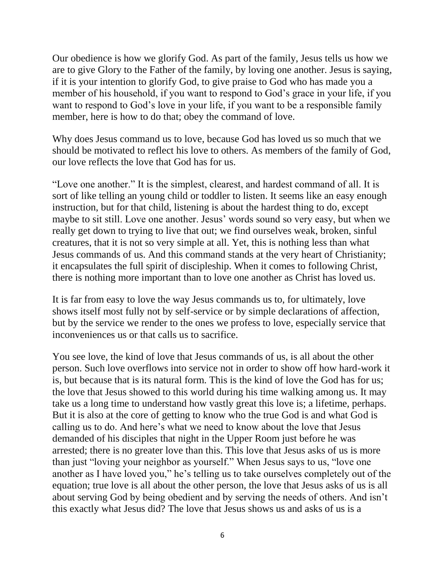Our obedience is how we glorify God. As part of the family, Jesus tells us how we are to give Glory to the Father of the family, by loving one another. Jesus is saying, if it is your intention to glorify God, to give praise to God who has made you a member of his household, if you want to respond to God's grace in your life, if you want to respond to God's love in your life, if you want to be a responsible family member, here is how to do that; obey the command of love.

Why does Jesus command us to love, because God has loved us so much that we should be motivated to reflect his love to others. As members of the family of God, our love reflects the love that God has for us.

"Love one another." It is the simplest, clearest, and hardest command of all. It is sort of like telling an young child or toddler to listen. It seems like an easy enough instruction, but for that child, listening is about the hardest thing to do, except maybe to sit still. Love one another. Jesus' words sound so very easy, but when we really get down to trying to live that out; we find ourselves weak, broken, sinful creatures, that it is not so very simple at all. Yet, this is nothing less than what Jesus commands of us. And this command stands at the very heart of Christianity; it encapsulates the full spirit of discipleship. When it comes to following Christ, there is nothing more important than to love one another as Christ has loved us.

It is far from easy to love the way Jesus commands us to, for ultimately, love shows itself most fully not by self-service or by simple declarations of affection, but by the service we render to the ones we profess to love, especially service that inconveniences us or that calls us to sacrifice.

You see love, the kind of love that Jesus commands of us, is all about the other person. Such love overflows into service not in order to show off how hard-work it is, but because that is its natural form. This is the kind of love the God has for us; the love that Jesus showed to this world during his time walking among us. It may take us a long time to understand how vastly great this love is; a lifetime, perhaps. But it is also at the core of getting to know who the true God is and what God is calling us to do. And here's what we need to know about the love that Jesus demanded of his disciples that night in the Upper Room just before he was arrested; there is no greater love than this. This love that Jesus asks of us is more than just "loving your neighbor as yourself." When Jesus says to us, "love one another as I have loved you," he's telling us to take ourselves completely out of the equation; true love is all about the other person, the love that Jesus asks of us is all about serving God by being obedient and by serving the needs of others. And isn't this exactly what Jesus did? The love that Jesus shows us and asks of us is a